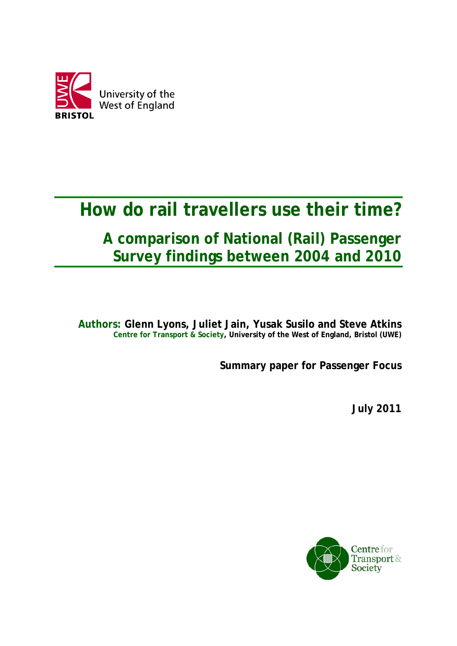

# **How do rail travellers use their time?**

## **A comparison of National (Rail) Passenger Survey findings between 2004 and 2010**

**Authors: Glenn Lyons, Juliet Jain, Yusak Susilo and Steve Atkins Centre for Transport & Society, University of the West of England, Bristol (UWE)** 

**Summary paper for Passenger Focus** 

**July 2011** 

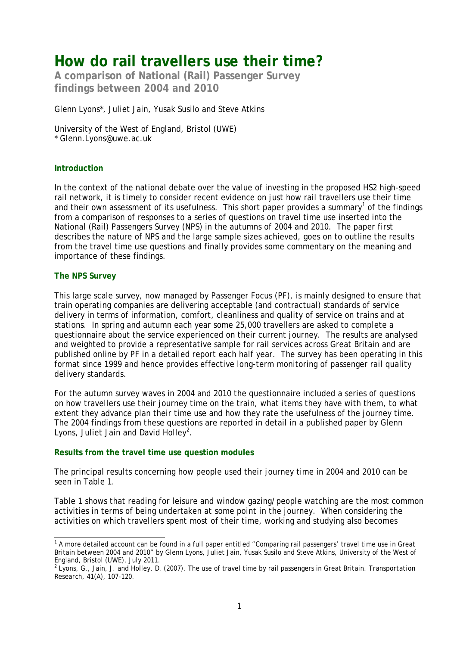### **How do rail travellers use their time?**

**A comparison of National (Rail) Passenger Survey findings between 2004 and 2010** 

Glenn Lyons\*, Juliet Jain, Yusak Susilo and Steve Atkins

University of the West of England, Bristol (UWE) \* Glenn.[Lyons@uwe.ac.uk](mailto:Lyons@uwe.ac.uk) 

#### **Introduction**

In the context of the national debate over the value of investing in the proposed HS2 high-speed rail network, it is timely to consider recent evidence on just how rail travellers use their time and their own assessment of its usefulness. This short paper provides a summary<sup>1</sup> of the findings from a comparison of responses to a series of questions on travel time use inserted into the National (Rail) Passengers Survey (NPS) in the autumns of 2004 and 2010. The paper first describes the nature of NPS and the large sample sizes achieved, goes on to outline the results from the travel time use questions and finally provides some commentary on the meaning and importance of these findings.

#### **The NPS Survey**

This large scale survey, now managed by Passenger Focus (PF), is mainly designed to ensure that train operating companies are delivering acceptable (and contractual) standards of service delivery in terms of information, comfort, cleanliness and quality of service on trains and at stations. In spring and autumn each year some 25,000 travellers are asked to complete a questionnaire about the service experienced on their current journey. The results are analysed and weighted to provide a representative sample for rail services across Great Britain and are published online by PF in a detailed report each half year. The survey has been operating in this format since 1999 and hence provides effective long-term monitoring of passenger rail quality delivery standards.

For the autumn survey waves in 2004 and 2010 the questionnaire included a series of questions on how travellers use their journey time on the train, what items they have with them, to what extent they advance plan their time use and how they rate the usefulness of the journey time. The 2004 findings from these questions are reported in detail in a published paper by Glenn Lyons, Juliet Jain and David Holley<sup>2</sup>.

#### **Results from the travel time use question modules**

The principal results concerning how people used their journey time in 2004 and 2010 can be seen in Table 1.

Table 1 shows that reading for leisure and window gazing/people watching are the most common activities in terms of being undertaken *at some point* in the journey. When considering the activities on which travellers spent *most* of their time, working and studying also becomes

 1 A more detailed account can be found in a full paper entitled "Comparing rail passengers' travel time use in Great Britain between 2004 and 2010" by Glenn Lyons, Juliet Jain, Yusak Susilo and Steve Atkins, University of the West of England, Bristol (UWE), July 2011.

<sup>2</sup> Lyons, G., Jain, J. and Holley, D. (2007). The use of travel time by rail passengers in Great Britain. *Transportation Research*, 41(A), 107-120.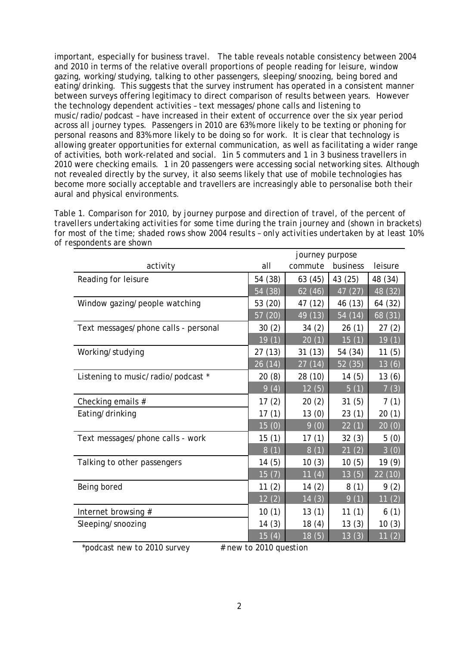important, especially for business travel. The table reveals notable consistency between 2004 and 2010 in terms of the relative overall proportions of people reading for leisure, window gazing, working/studying, talking to other passengers, sleeping/snoozing, being bored and eating/drinking. This suggests that the survey instrument has operated in a consistent manner between surveys offering legitimacy to direct comparison of results between years. However the technology dependent activities – text messages/phone calls and listening to music/radio/podcast – have increased in their extent of occurrence over the six year period across all journey types. Passengers in 2010 are 63% more likely to be texting or phoning for personal reasons and 83% more likely to be doing so for work. It is clear that technology is allowing greater opportunities for external communication, as well as facilitating a wider range of activities, both work-related and social. 1in 5 commuters and 1 in 3 business travellers in 2010 were checking emails. 1 in 20 passengers were accessing social networking sites. Although not revealed directly by the survey, it also seems likely that use of mobile technologies has become more socially acceptable and travellers are increasingly able to personalise both their aural and physical environments.

*Table 1. Comparison for 2010, by journey purpose and direction of travel, of the percent of travellers undertaking activities for* some *time during the train journey and (shown in brackets) for* most *of the time; shaded rows show 2004 results – only activities undertaken by at least 10% of respondents are shown* 

|                                      | journey purpose    |         |                      |           |
|--------------------------------------|--------------------|---------|----------------------|-----------|
| activity                             | all                | commute | business             | leisure   |
| Reading for leisure                  | 54 (38)            | 63 (45) | 43 (25)              | 48 (34)   |
|                                      | 54 (38)            | 62(46)  | $\sqrt{47}$ (27)     | 48 (32)   |
| Window gazing/people watching        | 53 (20)            | 47 (12) | 46 (13)              | 64 (32)   |
|                                      | 57 (20)            | 49 (13) | $\overline{54}$ (14) | 68(31)    |
| Text messages/phone calls - personal | 30(2)              | 34(2)   | 26(1)                | 27(2)     |
|                                      | $\overline{19}(1)$ | 20(1)   | 15(1)                | 19(1)     |
| Working/studying                     | 27(13)             | 31(13)  | 54 (34)              | 11(5)     |
|                                      | 26 (14)            | 27(14)  | 52 (35)              | 13(6)     |
| Listening to music/radio/podcast *   | 20(8)              | 28 (10) | 14(5)                | 13(6)     |
|                                      | 9(4)               | 12(5)   | $\overline{5}$ (1)   | 7(3)      |
| Checking emails #                    | 17(2)              | 20(2)   | 31(5)                | 7(1)      |
| Eating/drinking                      | 17(1)              | 13(0)   | 23(1)                | 20(1)     |
|                                      | 15(0)              | 9(0)    | $\sqrt{22}$ (1)      | 20(0)     |
| Text messages/phone calls - work     | 15(1)              | 17(1)   | 32(3)                | 5(0)      |
|                                      | 8(1)               | 8(1)    | 21(2)                | 3(0)      |
| Talking to other passengers          | 14(5)              | 10(3)   | 10(5)                | 19(9)     |
|                                      | 15(7)              | 11(4)   | 13(5)                | 22 (10)   |
| Being bored                          | 11(2)              | 14(2)   | 8(1)                 | 9(2)      |
|                                      | 12(2)              | 14(3)   | 9(1)                 | 11(2)     |
| Internet browsing #                  | 10(1)              | 13(1)   | 11(1)                | 6(1)      |
| Sleeping/snoozing                    | 14(3)              | 18 (4)  | 13(3)                | 10(3)     |
|                                      | <u>15 (4)</u>      | 18(5)   | 13(3)                | (2)<br>11 |
|                                      |                    |         |                      |           |

podcast new to 2010 survey  $\#$  new to 2010 question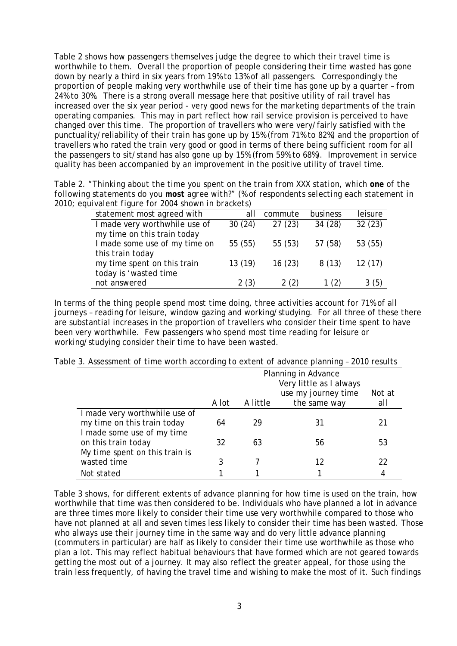Table 2 shows how passengers themselves judge the degree to which their travel time is worthwhile to them. Overall the proportion of people considering their time wasted has gone down by nearly a third in six years from 19% to 13% of all passengers. Correspondingly the proportion of people making very worthwhile use of their time has gone up by a quarter – from 24% to 30%. There is a strong overall message here that positive utility of rail travel has increased over the six year period - very good news for the marketing departments of the train operating companies. This may in part reflect how rail service provision is perceived to have changed over this time. The proportion of travellers who were very/fairly satisfied with the punctuality/reliability of their train has gone up by 15% (from 71% to 82%) and the proportion of travellers who rated the train very good or good in terms of there being sufficient room for all the passengers to sit/stand has also gone up by 15% (from 59% to 68%). Improvement in service quality has been accompanied by an improvement in the positive utility of travel time.

*Table 2. "Thinking about the time you spent on the train from XXX station, which one of the following statements do you most agree with?" (% of respondents selecting each statement in 2010; equivalent figure for 2004 shown in brackets)* 

| statement most agreed with    | all     | commute | business | leisure |
|-------------------------------|---------|---------|----------|---------|
| I made very worthwhile use of | 30(24)  | 27(23)  | 34 (28)  | 32(23)  |
| my time on this train today   |         |         |          |         |
| I made some use of my time on | 55 (55) | 55(53)  | 57 (58)  | 53 (55) |
| this train today              |         |         |          |         |
| my time spent on this train   | 13(19)  | 16(23)  | 8(13)    | 12(17)  |
| today is 'wasted time         |         |         |          |         |
| not answered                  | 2(3)    | 2(2)    | 1(2)     | 3(5)    |
|                               |         |         |          |         |

In terms of the thing people spend *most* time doing, three activities account for 71% of all journeys – reading for leisure, window gazing and working/studying. For all three of these there are substantial increases in the proportion of travellers who consider their time spent to have been very worthwhile. Few passengers who spend most time reading for leisure or working/studying consider their time to have been wasted.

|                                                                                            | Planning in Advance<br>Very little as I always |          |                                     |               |
|--------------------------------------------------------------------------------------------|------------------------------------------------|----------|-------------------------------------|---------------|
|                                                                                            | A lot                                          | A little | use my journey time<br>the same way | Not at<br>all |
| I made very worthwhile use of<br>my time on this train today<br>I made some use of my time | 64                                             | 29       | 31                                  | 21            |
| on this train today<br>My time spent on this train is                                      | 32                                             | 63       | 56                                  | 53            |
| wasted time                                                                                |                                                |          | 12                                  | 22            |
| Not stated                                                                                 |                                                |          |                                     | 4             |

*Table 3. Assessment of time worth according to extent of advance planning – 2010 results* 

Table 3 shows, for different extents of advance planning for how time is used on the train, how worthwhile that time was then considered to be. Individuals who have planned a lot in advance are three times more likely to consider their time use very worthwhile compared to those who have not planned at all and seven times less likely to consider their time has been wasted. Those who always use their journey time in the same way and do very little advance planning (commuters in particular) are half as likely to consider their time use worthwhile as those who plan a lot. This may reflect habitual behaviours that have formed which are not geared towards getting the most out of a journey. It may also reflect the greater appeal, for those using the train less frequently, of having the travel time and wishing to make the most of it. Such findings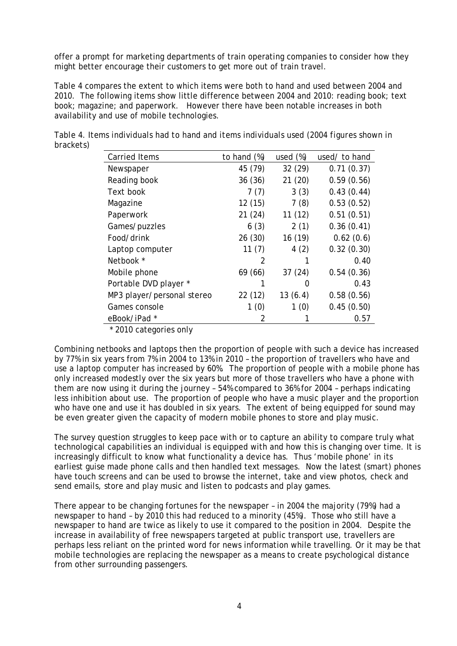offer a prompt for marketing departments of train operating companies to consider how they might better encourage their customers to get more out of train travel.

Table 4 compares the extent to which items were both to hand and used between 2004 and 2010. The following items show little difference between 2004 and 2010: reading book; text book; magazine; and paperwork. However there have been notable increases in both availability and use of mobile technologies.

| brackets) | Table 4. Items individuals had to hand and items individuals used (2004 figures shown in |             |                        |  |
|-----------|------------------------------------------------------------------------------------------|-------------|------------------------|--|
|           | Carried Items                                                                            | to hand (%) | used (%) used/ to hand |  |

| Carried Renis              | to nang (%) | useu (%) | useaz to hand |
|----------------------------|-------------|----------|---------------|
| Newspaper                  | 45 (79)     | 32 (29)  | 0.71(0.37)    |
| Reading book               | 36(36)      | 21(20)   | 0.59(0.56)    |
| Text book                  | 7(7)        | 3(3)     | 0.43(0.44)    |
| Magazine                   | 12(15)      | 7(8)     | 0.53(0.52)    |
| Paperwork                  | 21(24)      | 11(12)   | 0.51(0.51)    |
| Games/puzzles              | 6(3)        | 2(1)     | 0.36(0.41)    |
| Food/drink                 | 26 (30)     | 16 (19)  | 0.62(0.6)     |
| Laptop computer            | 11(7)       | 4(2)     | 0.32(0.30)    |
| Netbook *                  | 2           |          | 0.40          |
| Mobile phone               | 69 (66)     | 37(24)   | 0.54(0.36)    |
| Portable DVD player *      |             | 0        | 0.43          |
| MP3 player/personal stereo | 22 (12)     | 13(6.4)  | 0.58(0.56)    |
| Games console              | 1(0)        | 1(0)     | 0.45(0.50)    |
| eBook/iPad *               | 2           |          | 0.57          |
|                            |             |          |               |

\* 2010 categories only

Combining netbooks and laptops then the proportion of people with such a device has increased by 77% in six years from 7% in 2004 to 13% in 2010 – the proportion of travellers who have and use a laptop computer has increased by 60%. The proportion of people with a mobile phone has only increased modestly over the six years but more of those travellers who have a phone with them are now using it during the journey – 54% compared to 36% for 2004 – perhaps indicating less inhibition about use. The proportion of people who have a music player and the proportion who have one and use it has doubled in six years. The extent of being equipped for sound may be even greater given the capacity of modern mobile phones to store and play music.

The survey question struggles to keep pace with or to capture an ability to compare truly what technological capabilities an individual is equipped with and how this is changing over time. It is increasingly difficult to know what functionality a device has. Thus 'mobile phone' in its earliest guise made phone calls and then handled text messages. Now the latest (smart) phones have touch screens and can be used to browse the internet, take and view photos, check and send emails, store and play music and listen to podcasts and play games.

There appear to be changing fortunes for the newspaper – in 2004 the majority (79%) had a newspaper to hand – by 2010 this had reduced to a minority (45%). Those who still have a newspaper to hand are twice as likely to use it compared to the position in 2004. Despite the increase in availability of free newspapers targeted at public transport use, travellers are perhaps less reliant on the printed word for news information while travelling. Or it may be that mobile technologies are replacing the newspaper as a means to create psychological distance from other surrounding passengers.